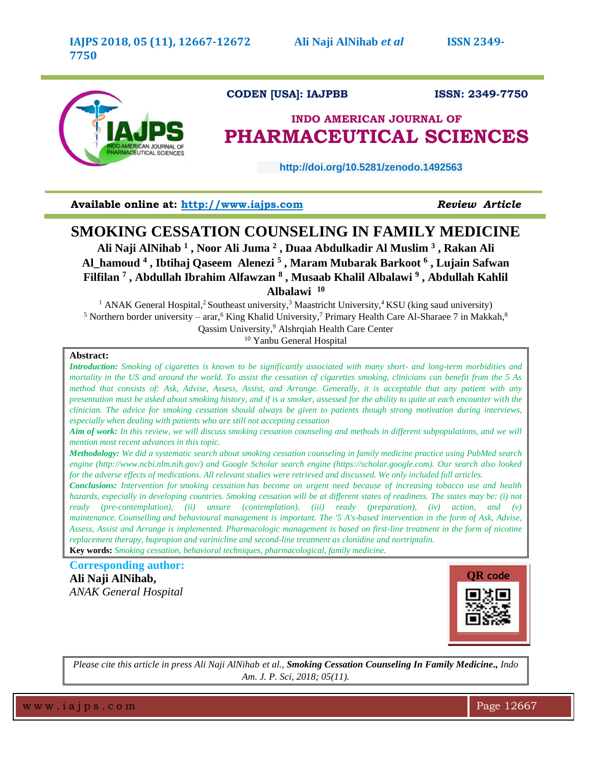

# **CODEN [USA]: IAJPBB ISSN: 2349-7750**

# **INDO AMERICAN JOURNAL OF PHARMACEUTICAL SCIENCES**

 **http://doi.org/10.5281/zenodo.1492563** 

**Available online at: [http://www.iajps.com](http://www.iajps.com/)** *Review Article*

# **SMOKING CESSATION COUNSELING IN FAMILY MEDICINE**

**Ali Naji AlNihab <sup>1</sup> , Noor Ali Juma <sup>2</sup> , Duaa Abdulkadir Al Muslim <sup>3</sup> , Rakan Ali Al\_hamoud <sup>4</sup> , Ibtihaj Qaseem Alenezi <sup>5</sup> , Maram Mubarak Barkoot <sup>6</sup> , Lujain Safwan Filfilan <sup>7</sup> , Abdullah Ibrahim Alfawzan <sup>8</sup> , Musaab Khalil Albalawi <sup>9</sup> , Abdullah Kahlil Albalawi <sup>10</sup>**

<sup>1</sup> ANAK General Hospital,<sup>2</sup> Southeast university,<sup>3</sup> Maastricht University,<sup>4</sup> KSU (king saud university) <sup>5</sup> Northern border university – arar, <sup>6</sup> King Khalid University, <sup>7</sup> Primary Health Care Al-Sharaee 7 in Makkah,  $8$ Qassim University, <sup>9</sup> Alshrqiah Health Care Center <sup>10</sup> Yanbu General Hospital

# **Abstract:**

*Introduction: Smoking of cigarettes is known to be significantly associated with many short- and long-term morbidities and mortality in the US and around the world. To assist the cessation of cigarettes smoking, clinicians can benefit from the 5 As method that consists of: Ask, Advise, Assess, Assist, and Arrange. Generally, it is acceptable that any patient with any presentation must be asked about smoking history, and if is a smoker, assessed for the ability to quite at each encounter with the clinician. The advice for smoking cessation should always be given to patients though strong motivation during interviews, especially when dealing with patients who are still not accepting cessation*

*Aim of work: In this review, we will discuss smoking cessation counseling and methods in different subpopulations, and we will mention most recent advances in this topic.*

*Methodology: We did a systematic search about smoking cessation counseling in family medicine practice using PubMed search engine (http://www.ncbi.nlm.nih.gov/) and Google Scholar search engine (https://scholar.google.com). Our search also looked for the adverse effects of medications. All relevant studies were retrieved and discussed. We only included full articles.*

*Conclusions: Intervention for smoking cessation has become on urgent need because of increasing tobacco use and health hazards, especially in developing countries. Smoking cessation will be at different states of readiness. The states may be: (i) not ready (pre-contemplation), (ii) unsure (contemplation), (iii) ready (preparation), (iv) action, and (v) maintenance. Counselling and behavioural management is important. The '5 A's-based intervention in the form of Ask, Advise, Assess, Assist and Arrange is implemented. Pharmacologic management is based on first-line treatment in the form of nicotine replacement therapy, bupropion and varinicline and second-line treatment as clonidine and nortriptalin.* **Key words:** *Smoking cessation, behavioral techniques, pharmacological, family medicine.*

**Corresponding author: Ali Naji AlNihab,** *ANAK General Hospital*



*Please cite this article in press Ali Naji AlNihab et al., Smoking Cessation Counseling In Family Medicine., Indo Am. J. P. Sci, 2018; 05(11).*

w w w . i a j p s . c o m  $\blacksquare$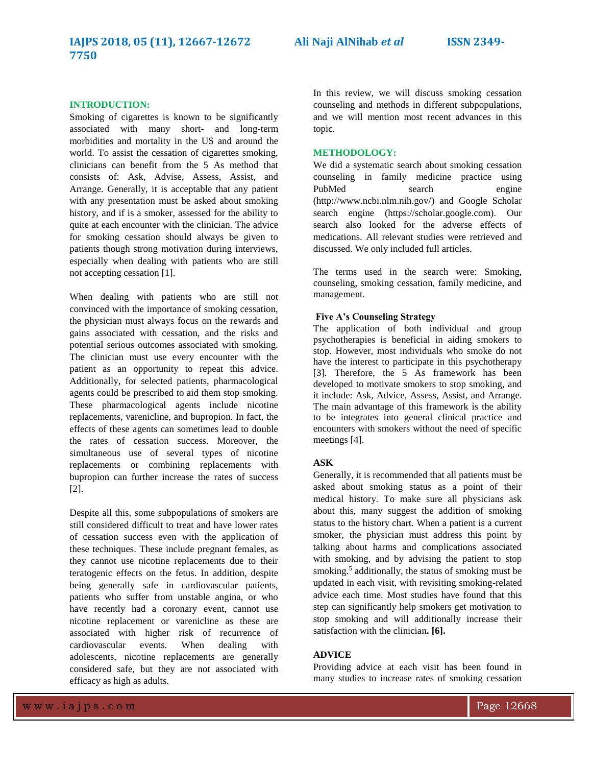#### **INTRODUCTION:**

Smoking of cigarettes is known to be significantly associated with many short- and long-term morbidities and mortality in the US and around the world. To assist the cessation of cigarettes smoking, clinicians can benefit from the 5 As method that consists of: Ask, Advise, Assess, Assist, and Arrange. Generally, it is acceptable that any patient with any presentation must be asked about smoking history, and if is a smoker, assessed for the ability to quite at each encounter with the clinician. The advice for smoking cessation should always be given to patients though strong motivation during interviews, especially when dealing with patients who are still not accepting cessation [1].

When dealing with patients who are still not convinced with the importance of smoking cessation, the physician must always focus on the rewards and gains associated with cessation, and the risks and potential serious outcomes associated with smoking. The clinician must use every encounter with the patient as an opportunity to repeat this advice. Additionally, for selected patients, pharmacological agents could be prescribed to aid them stop smoking. These pharmacological agents include nicotine replacements, varenicline, and bupropion. In fact, the effects of these agents can sometimes lead to double the rates of cessation success. Moreover, the simultaneous use of several types of nicotine replacements or combining replacements with bupropion can further increase the rates of success [2].

Despite all this, some subpopulations of smokers are still considered difficult to treat and have lower rates of cessation success even with the application of these techniques. These include pregnant females, as they cannot use nicotine replacements due to their teratogenic effects on the fetus. In addition, despite being generally safe in cardiovascular patients, patients who suffer from unstable angina, or who have recently had a coronary event, cannot use nicotine replacement or varenicline as these are associated with higher risk of recurrence of cardiovascular events. When dealing with adolescents, nicotine replacements are generally considered safe, but they are not associated with efficacy as high as adults.

In this review, we will discuss smoking cessation counseling and methods in different subpopulations, and we will mention most recent advances in this topic.

#### **METHODOLOGY:**

We did a systematic search about smoking cessation counseling in family medicine practice using PubMed search engine (http://www.ncbi.nlm.nih.gov/) and Google Scholar search engine (https://scholar.google.com). Our search also looked for the adverse effects of medications. All relevant studies were retrieved and discussed. We only included full articles.

The terms used in the search were: Smoking, counseling, smoking cessation, family medicine, and management.

#### **Five A's Counseling Strategy**

The application of both individual and group psychotherapies is beneficial in aiding smokers to stop. However, most individuals who smoke do not have the interest to participate in this psychotherapy [3]. Therefore, the 5 As framework has been developed to motivate smokers to stop smoking, and it include: Ask, Advice, Assess, Assist, and Arrange. The main advantage of this framework is the ability to be integrates into general clinical practice and encounters with smokers without the need of specific meetings [4].

# **ASK**

Generally, it is recommended that all patients must be asked about smoking status as a point of their medical history. To make sure all physicians ask about this, many suggest the addition of smoking status to the history chart. When a patient is a current smoker, the physician must address this point by talking about harms and complications associated with smoking, and by advising the patient to stop smoking.<sup>5</sup> additionally, the status of smoking must be updated in each visit, with revisiting smoking-related advice each time. Most studies have found that this step can significantly help smokers get motivation to stop smoking and will additionally increase their satisfaction with the clinician**. [6].**

# **ADVICE**

Providing advice at each visit has been found in many studies to increase rates of smoking cessation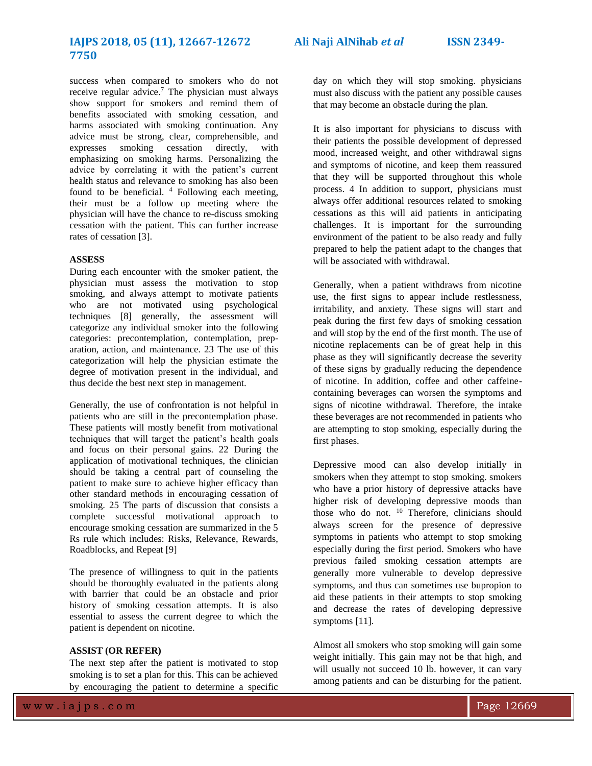# **7750**

success when compared to smokers who do not receive regular advice. <sup>7</sup> The physician must always show support for smokers and remind them of benefits associated with smoking cessation, and harms associated with smoking continuation. Any advice must be strong, clear, comprehensible, and expresses smoking cessation directly, with emphasizing on smoking harms. Personalizing the advice by correlating it with the patient's current health status and relevance to smoking has also been found to be beneficial. <sup>4</sup> Following each meeting, their must be a follow up meeting where the physician will have the chance to re-discuss smoking cessation with the patient. This can further increase rates of cessation [3].

# **ASSESS**

During each encounter with the smoker patient, the physician must assess the motivation to stop smoking, and always attempt to motivate patients who are not motivated using psychological techniques [8] generally, the assessment will categorize any individual smoker into the following categories: precontemplation, contemplation, preparation, action, and maintenance. 23 The use of this categorization will help the physician estimate the degree of motivation present in the individual, and thus decide the best next step in management.

Generally, the use of confrontation is not helpful in patients who are still in the precontemplation phase. These patients will mostly benefit from motivational techniques that will target the patient's health goals and focus on their personal gains. 22 During the application of motivational techniques, the clinician should be taking a central part of counseling the patient to make sure to achieve higher efficacy than other standard methods in encouraging cessation of smoking. 25 The parts of discussion that consists a complete successful motivational approach to encourage smoking cessation are summarized in the 5 Rs rule which includes: Risks, Relevance, Rewards, Roadblocks, and Repeat [9]

The presence of willingness to quit in the patients should be thoroughly evaluated in the patients along with barrier that could be an obstacle and prior history of smoking cessation attempts. It is also essential to assess the current degree to which the patient is dependent on nicotine.

#### **ASSIST (OR REFER)**

The next step after the patient is motivated to stop smoking is to set a plan for this. This can be achieved by encouraging the patient to determine a specific

day on which they will stop smoking. physicians must also discuss with the patient any possible causes that may become an obstacle during the plan.

It is also important for physicians to discuss with their patients the possible development of depressed mood, increased weight, and other withdrawal signs and symptoms of nicotine, and keep them reassured that they will be supported throughout this whole process. 4 In addition to support, physicians must always offer additional resources related to smoking cessations as this will aid patients in anticipating challenges. It is important for the surrounding environment of the patient to be also ready and fully prepared to help the patient adapt to the changes that will be associated with withdrawal.

Generally, when a patient withdraws from nicotine use, the first signs to appear include restlessness, irritability, and anxiety. These signs will start and peak during the first few days of smoking cessation and will stop by the end of the first month. The use of nicotine replacements can be of great help in this phase as they will significantly decrease the severity of these signs by gradually reducing the dependence of nicotine. In addition, coffee and other caffeinecontaining beverages can worsen the symptoms and signs of nicotine withdrawal. Therefore, the intake these beverages are not recommended in patients who are attempting to stop smoking, especially during the first phases.

Depressive mood can also develop initially in smokers when they attempt to stop smoking. smokers who have a prior history of depressive attacks have higher risk of developing depressive moods than those who do not. <sup>10</sup> Therefore, clinicians should always screen for the presence of depressive symptoms in patients who attempt to stop smoking especially during the first period. Smokers who have previous failed smoking cessation attempts are generally more vulnerable to develop depressive symptoms, and thus can sometimes use bupropion to aid these patients in their attempts to stop smoking and decrease the rates of developing depressive symptoms [11].

Almost all smokers who stop smoking will gain some weight initially. This gain may not be that high, and will usually not succeed 10 lb. however, it can vary among patients and can be disturbing for the patient.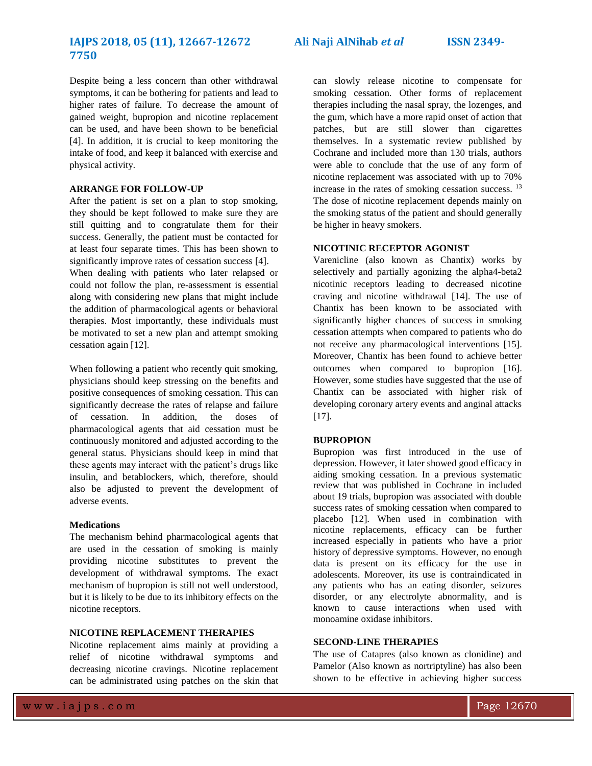# **IAJPS 2018, 05 (11), 12667-12672 Ali Naji AlNihab** *et al* **ISSN 2349- 7750**

Despite being a less concern than other withdrawal symptoms, it can be bothering for patients and lead to higher rates of failure. To decrease the amount of gained weight, bupropion and nicotine replacement can be used, and have been shown to be beneficial [4]. In addition, it is crucial to keep monitoring the intake of food, and keep it balanced with exercise and physical activity.

#### **ARRANGE FOR FOLLOW-UP**

After the patient is set on a plan to stop smoking, they should be kept followed to make sure they are still quitting and to congratulate them for their success. Generally, the patient must be contacted for at least four separate times. This has been shown to significantly improve rates of cessation success [4].

When dealing with patients who later relapsed or could not follow the plan, re-assessment is essential along with considering new plans that might include the addition of pharmacological agents or behavioral therapies. Most importantly, these individuals must be motivated to set a new plan and attempt smoking cessation again [12].

When following a patient who recently quit smoking, physicians should keep stressing on the benefits and positive consequences of smoking cessation. This can significantly decrease the rates of relapse and failure of cessation. In addition, the doses of pharmacological agents that aid cessation must be continuously monitored and adjusted according to the general status. Physicians should keep in mind that these agents may interact with the patient's drugs like insulin, and betablockers, which, therefore, should also be adjusted to prevent the development of adverse events.

#### **Medications**

The mechanism behind pharmacological agents that are used in the cessation of smoking is mainly providing nicotine substitutes to prevent the development of withdrawal symptoms. The exact mechanism of bupropion is still not well understood, but it is likely to be due to its inhibitory effects on the nicotine receptors.

# **NICOTINE REPLACEMENT THERAPIES**

Nicotine replacement aims mainly at providing a relief of nicotine withdrawal symptoms and decreasing nicotine cravings. Nicotine replacement can be administrated using patches on the skin that can slowly release nicotine to compensate for smoking cessation. Other forms of replacement therapies including the nasal spray, the lozenges, and the gum, which have a more rapid onset of action that patches, but are still slower than cigarettes themselves. In a systematic review published by Cochrane and included more than 130 trials, authors were able to conclude that the use of any form of nicotine replacement was associated with up to 70% increase in the rates of smoking cessation success. <sup>13</sup> The dose of nicotine replacement depends mainly on the smoking status of the patient and should generally be higher in heavy smokers.

# **NICOTINIC RECEPTOR AGONIST**

Varenicline (also known as Chantix) works by selectively and partially agonizing the alpha4-beta2 nicotinic receptors leading to decreased nicotine craving and nicotine withdrawal [14]. The use of Chantix has been known to be associated with significantly higher chances of success in smoking cessation attempts when compared to patients who do not receive any pharmacological interventions [15]. Moreover, Chantix has been found to achieve better outcomes when compared to bupropion [16]. However, some studies have suggested that the use of Chantix can be associated with higher risk of developing coronary artery events and anginal attacks  $[17]$ .

#### **BUPROPION**

Bupropion was first introduced in the use of depression. However, it later showed good efficacy in aiding smoking cessation. In a previous systematic review that was published in Cochrane in included about 19 trials, bupropion was associated with double success rates of smoking cessation when compared to placebo [12]. When used in combination with nicotine replacements, efficacy can be further increased especially in patients who have a prior history of depressive symptoms. However, no enough data is present on its efficacy for the use in adolescents. Moreover, its use is contraindicated in any patients who has an eating disorder, seizures disorder, or any electrolyte abnormality, and is known to cause interactions when used with monoamine oxidase inhibitors.

#### **SECOND-LINE THERAPIES**

The use of Catapres (also known as clonidine) and Pamelor (Also known as nortriptyline) has also been shown to be effective in achieving higher success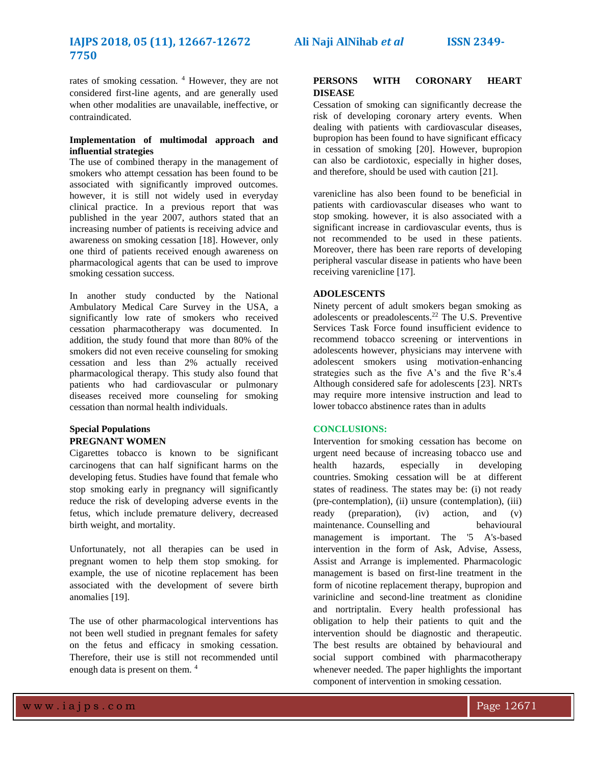# **IAJPS 2018, 05 (11), 12667-12672 Ali Naji AlNihab** *et al* **ISSN 2349- 7750**

rates of smoking cessation. <sup>4</sup> However, they are not considered first-line agents, and are generally used when other modalities are unavailable, ineffective, or contraindicated.

# **Implementation of multimodal approach and influential strategies**

The use of combined therapy in the management of smokers who attempt cessation has been found to be associated with significantly improved outcomes. however, it is still not widely used in everyday clinical practice. In a previous report that was published in the year 2007, authors stated that an increasing number of patients is receiving advice and awareness on smoking cessation [18]. However, only one third of patients received enough awareness on pharmacological agents that can be used to improve smoking cessation success.

In another study conducted by the National Ambulatory Medical Care Survey in the USA, a significantly low rate of smokers who received cessation pharmacotherapy was documented. In addition, the study found that more than 80% of the smokers did not even receive counseling for smoking cessation and less than 2% actually received pharmacological therapy. This study also found that patients who had cardiovascular or pulmonary diseases received more counseling for smoking cessation than normal health individuals.

# **Special Populations PREGNANT WOMEN**

Cigarettes tobacco is known to be significant carcinogens that can half significant harms on the developing fetus. Studies have found that female who stop smoking early in pregnancy will significantly reduce the risk of developing adverse events in the fetus, which include premature delivery, decreased birth weight, and mortality.

Unfortunately, not all therapies can be used in pregnant women to help them stop smoking. for example, the use of nicotine replacement has been associated with the development of severe birth anomalies [19].

The use of other pharmacological interventions has not been well studied in pregnant females for safety on the fetus and efficacy in smoking cessation. Therefore, their use is still not recommended until enough data is present on them. <sup>4</sup>

# **PERSONS WITH CORONARY HEART DISEASE**

Cessation of smoking can significantly decrease the risk of developing coronary artery events. When dealing with patients with cardiovascular diseases, bupropion has been found to have significant efficacy in cessation of smoking [20]. However, bupropion can also be cardiotoxic, especially in higher doses, and therefore, should be used with caution [21].

varenicline has also been found to be beneficial in patients with cardiovascular diseases who want to stop smoking. however, it is also associated with a significant increase in cardiovascular events, thus is not recommended to be used in these patients. Moreover, there has been rare reports of developing peripheral vascular disease in patients who have been receiving varenicline [17].

# **ADOLESCENTS**

Ninety percent of adult smokers began smoking as adolescents or preadolescents.<sup>22</sup> The U.S. Preventive Services Task Force found insufficient evidence to recommend tobacco screening or interventions in adolescents however, physicians may intervene with adolescent smokers using motivation-enhancing strategies such as the five A's and the five R's.4 Although considered safe for adolescents [23]. NRTs may require more intensive instruction and lead to lower tobacco abstinence rates than in adults

# **CONCLUSIONS:**

Intervention for smoking cessation has become on urgent need because of increasing tobacco use and health hazards, especially in developing countries. Smoking cessation will be at different states of readiness. The states may be: (i) not ready (pre-contemplation), (ii) unsure (contemplation), (iii) ready (preparation), (iv) action, and (v) maintenance. Counselling and behavioural management is important. The '5 A's-based intervention in the form of Ask, Advise, Assess, Assist and Arrange is implemented. Pharmacologic management is based on first-line treatment in the form of nicotine replacement therapy, bupropion and varinicline and second-line treatment as clonidine and nortriptalin. Every health professional has obligation to help their patients to quit and the intervention should be diagnostic and therapeutic. The best results are obtained by behavioural and social support combined with pharmacotherapy whenever needed. The paper highlights the important component of intervention in smoking cessation.